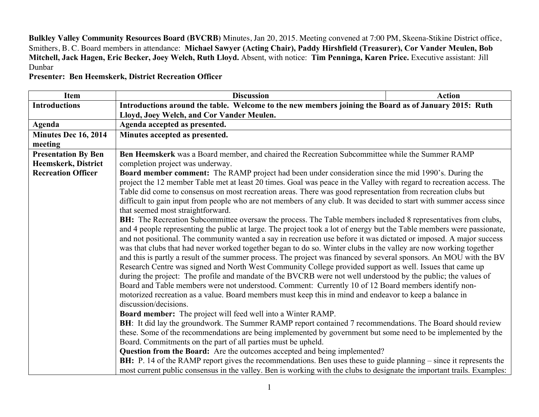**Bulkley Valley Community Resources Board (BVCRB)** Minutes, Jan 20, 2015. Meeting convened at 7:00 PM, Skeena-Stikine District office, Smithers, B. C. Board members in attendance: **Michael Sawyer (Acting Chair), Paddy Hirshfield (Treasurer), Cor Vander Meulen, Bob Mitchell, Jack Hagen, Eric Becker, Joey Welch, Ruth Lloyd.** Absent, with notice: **Tim Penninga, Karen Price.** Executive assistant: Jill Dunbar

**Presenter: Ben Heemskerk, District Recreation Officer**

| <b>Item</b>                | <b>Discussion</b>                                                                                                                | <b>Action</b> |  |
|----------------------------|----------------------------------------------------------------------------------------------------------------------------------|---------------|--|
| <b>Introductions</b>       | Introductions around the table. Welcome to the new members joining the Board as of January 2015: Ruth                            |               |  |
|                            | Lloyd, Joey Welch, and Cor Vander Meulen.                                                                                        |               |  |
| Agenda                     | Agenda accepted as presented.                                                                                                    |               |  |
| Minutes Dec 16, 2014       | Minutes accepted as presented.                                                                                                   |               |  |
| meeting                    |                                                                                                                                  |               |  |
| <b>Presentation By Ben</b> | Ben Heemskerk was a Board member, and chaired the Recreation Subcommittee while the Summer RAMP                                  |               |  |
| Heemskerk, District        | completion project was underway.                                                                                                 |               |  |
| <b>Recreation Officer</b>  | Board member comment: The RAMP project had been under consideration since the mid 1990's. During the                             |               |  |
|                            | project the 12 member Table met at least 20 times. Goal was peace in the Valley with regard to recreation access. The            |               |  |
|                            | Table did come to consensus on most recreation areas. There was good representation from recreation clubs but                    |               |  |
|                            | difficult to gain input from people who are not members of any club. It was decided to start with summer access since            |               |  |
|                            | that seemed most straightforward.                                                                                                |               |  |
|                            | <b>BH:</b> The Recreation Subcommittee oversaw the process. The Table members included 8 representatives from clubs,             |               |  |
|                            | and 4 people representing the public at large. The project took a lot of energy but the Table members were passionate,           |               |  |
|                            | and not positional. The community wanted a say in recreation use before it was dictated or imposed. A major success              |               |  |
|                            | was that clubs that had never worked together began to do so. Winter clubs in the valley are now working together                |               |  |
|                            | and this is partly a result of the summer process. The project was financed by several sponsors. An MOU with the BV              |               |  |
|                            | Research Centre was signed and North West Community College provided support as well. Issues that came up                        |               |  |
|                            | during the project: The profile and mandate of the BVCRB were not well understood by the public; the values of                   |               |  |
|                            | Board and Table members were not understood. Comment: Currently 10 of 12 Board members identify non-                             |               |  |
|                            | motorized recreation as a value. Board members must keep this in mind and endeavor to keep a balance in<br>discussion/decisions. |               |  |
|                            | <b>Board member:</b> The project will feed well into a Winter RAMP.                                                              |               |  |
|                            | BH: It did lay the groundwork. The Summer RAMP report contained 7 recommendations. The Board should review                       |               |  |
|                            | these. Some of the recommendations are being implemented by government but some need to be implemented by the                    |               |  |
|                            | Board. Commitments on the part of all parties must be upheld.                                                                    |               |  |
|                            | Question from the Board: Are the outcomes accepted and being implemented?                                                        |               |  |
|                            | <b>BH:</b> P. 14 of the RAMP report gives the recommendations. Ben uses these to guide planning – since it represents the        |               |  |
|                            | most current public consensus in the valley. Ben is working with the clubs to designate the important trails. Examples:          |               |  |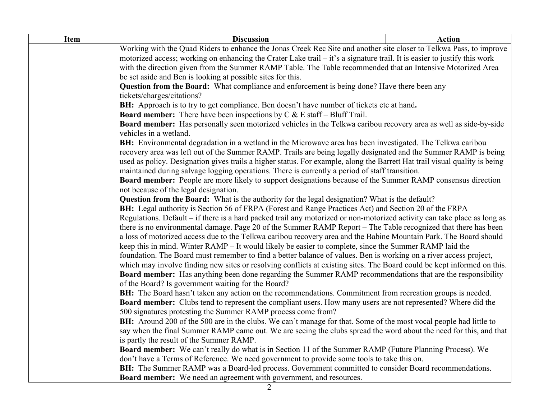| Working with the Quad Riders to enhance the Jonas Creek Rec Site and another site closer to Telkwa Pass, to improve<br>motorized access; working on enhancing the Crater Lake trail – it's a signature trail. It is easier to justify this work<br>with the direction given from the Summer RAMP Table. The Table recommended that an Intensive Motorized Area<br>be set aside and Ben is looking at possible sites for this.<br>Question from the Board: What compliance and enforcement is being done? Have there been any<br>tickets/charges/citations?<br>BH: Approach is to try to get compliance. Ben doesn't have number of tickets etc at hand.<br><b>Board member:</b> There have been inspections by $C & E$ staff – Bluff Trail.<br><b>Board member:</b> Has personally seen motorized vehicles in the Telkwa caribou recovery area as well as side-by-side<br>vehicles in a wetland.<br>BH: Environmental degradation in a wetland in the Microwave area has been investigated. The Telkwa caribou<br>recovery area was left out of the Summer RAMP. Trails are being legally designated and the Summer RAMP is being<br>used as policy. Designation gives trails a higher status. For example, along the Barrett Hat trail visual quality is being<br>maintained during salvage logging operations. There is currently a period of staff transition.<br>Board member: People are more likely to support designations because of the Summer RAMP consensus direction<br>not because of the legal designation.<br>Question from the Board: What is the authority for the legal designation? What is the default?<br><b>BH:</b> Legal authority is Section 56 of FRPA (Forest and Range Practices Act) and Section 20 of the FRPA<br>Regulations. Default – if there is a hard packed trail any motorized or non-motorized activity can take place as long as<br>there is no environmental damage. Page 20 of the Summer RAMP Report – The Table recognized that there has been<br>a loss of motorized access due to the Telkwa caribou recovery area and the Babine Mountain Park. The Board should<br>keep this in mind. Winter RAMP – It would likely be easier to complete, since the Summer RAMP laid the<br>foundation. The Board must remember to find a better balance of values. Ben is working on a river access project,<br>which may involve finding new sites or resolving conflicts at existing sites. The Board could be kept informed on this.<br><b>Board member:</b> Has anything been done regarding the Summer RAMP recommendations that are the responsibility<br>of the Board? Is government waiting for the Board?<br>BH: The Board hasn't taken any action on the recommendations. Commitment from recreation groups is needed.<br><b>Board member:</b> Clubs tend to represent the compliant users. How many users are not represented? Where did the<br>500 signatures protesting the Summer RAMP process come from?<br>BH: Around 200 of the 500 are in the clubs. We can't manage for that. Some of the most vocal people had little to<br>say when the final Summer RAMP came out. We are seeing the clubs spread the word about the need for this, and that<br>is partly the result of the Summer RAMP.<br><b>Board member:</b> We can't really do what is in Section 11 of the Summer RAMP (Future Planning Process). We<br>don't have a Terms of Reference. We need government to provide some tools to take this on.<br>BH: The Summer RAMP was a Board-led process. Government committed to consider Board recommendations. | <b>Item</b> | <b>Discussion</b> | <b>Action</b> |
|-------------------------------------------------------------------------------------------------------------------------------------------------------------------------------------------------------------------------------------------------------------------------------------------------------------------------------------------------------------------------------------------------------------------------------------------------------------------------------------------------------------------------------------------------------------------------------------------------------------------------------------------------------------------------------------------------------------------------------------------------------------------------------------------------------------------------------------------------------------------------------------------------------------------------------------------------------------------------------------------------------------------------------------------------------------------------------------------------------------------------------------------------------------------------------------------------------------------------------------------------------------------------------------------------------------------------------------------------------------------------------------------------------------------------------------------------------------------------------------------------------------------------------------------------------------------------------------------------------------------------------------------------------------------------------------------------------------------------------------------------------------------------------------------------------------------------------------------------------------------------------------------------------------------------------------------------------------------------------------------------------------------------------------------------------------------------------------------------------------------------------------------------------------------------------------------------------------------------------------------------------------------------------------------------------------------------------------------------------------------------------------------------------------------------------------------------------------------------------------------------------------------------------------------------------------------------------------------------------------------------------------------------------------------------------------------------------------------------------------------------------------------------------------------------------------------------------------------------------------------------------------------------------------------------------------------------------------------------------------------------------------------------------------------------------------------------------------------------------------------------------------------------------------------------------------------------------------------------------------------------------------------------------------------------------------------------------------------------------------------------------------------------------------------------------------------------------------------------------------------------------------------------------------------------------------------------|-------------|-------------------|---------------|
|                                                                                                                                                                                                                                                                                                                                                                                                                                                                                                                                                                                                                                                                                                                                                                                                                                                                                                                                                                                                                                                                                                                                                                                                                                                                                                                                                                                                                                                                                                                                                                                                                                                                                                                                                                                                                                                                                                                                                                                                                                                                                                                                                                                                                                                                                                                                                                                                                                                                                                                                                                                                                                                                                                                                                                                                                                                                                                                                                                                                                                                                                                                                                                                                                                                                                                                                                                                                                                                                                                                                                                         |             |                   |               |
|                                                                                                                                                                                                                                                                                                                                                                                                                                                                                                                                                                                                                                                                                                                                                                                                                                                                                                                                                                                                                                                                                                                                                                                                                                                                                                                                                                                                                                                                                                                                                                                                                                                                                                                                                                                                                                                                                                                                                                                                                                                                                                                                                                                                                                                                                                                                                                                                                                                                                                                                                                                                                                                                                                                                                                                                                                                                                                                                                                                                                                                                                                                                                                                                                                                                                                                                                                                                                                                                                                                                                                         |             |                   |               |
|                                                                                                                                                                                                                                                                                                                                                                                                                                                                                                                                                                                                                                                                                                                                                                                                                                                                                                                                                                                                                                                                                                                                                                                                                                                                                                                                                                                                                                                                                                                                                                                                                                                                                                                                                                                                                                                                                                                                                                                                                                                                                                                                                                                                                                                                                                                                                                                                                                                                                                                                                                                                                                                                                                                                                                                                                                                                                                                                                                                                                                                                                                                                                                                                                                                                                                                                                                                                                                                                                                                                                                         |             |                   |               |
|                                                                                                                                                                                                                                                                                                                                                                                                                                                                                                                                                                                                                                                                                                                                                                                                                                                                                                                                                                                                                                                                                                                                                                                                                                                                                                                                                                                                                                                                                                                                                                                                                                                                                                                                                                                                                                                                                                                                                                                                                                                                                                                                                                                                                                                                                                                                                                                                                                                                                                                                                                                                                                                                                                                                                                                                                                                                                                                                                                                                                                                                                                                                                                                                                                                                                                                                                                                                                                                                                                                                                                         |             |                   |               |
|                                                                                                                                                                                                                                                                                                                                                                                                                                                                                                                                                                                                                                                                                                                                                                                                                                                                                                                                                                                                                                                                                                                                                                                                                                                                                                                                                                                                                                                                                                                                                                                                                                                                                                                                                                                                                                                                                                                                                                                                                                                                                                                                                                                                                                                                                                                                                                                                                                                                                                                                                                                                                                                                                                                                                                                                                                                                                                                                                                                                                                                                                                                                                                                                                                                                                                                                                                                                                                                                                                                                                                         |             |                   |               |
|                                                                                                                                                                                                                                                                                                                                                                                                                                                                                                                                                                                                                                                                                                                                                                                                                                                                                                                                                                                                                                                                                                                                                                                                                                                                                                                                                                                                                                                                                                                                                                                                                                                                                                                                                                                                                                                                                                                                                                                                                                                                                                                                                                                                                                                                                                                                                                                                                                                                                                                                                                                                                                                                                                                                                                                                                                                                                                                                                                                                                                                                                                                                                                                                                                                                                                                                                                                                                                                                                                                                                                         |             |                   |               |
|                                                                                                                                                                                                                                                                                                                                                                                                                                                                                                                                                                                                                                                                                                                                                                                                                                                                                                                                                                                                                                                                                                                                                                                                                                                                                                                                                                                                                                                                                                                                                                                                                                                                                                                                                                                                                                                                                                                                                                                                                                                                                                                                                                                                                                                                                                                                                                                                                                                                                                                                                                                                                                                                                                                                                                                                                                                                                                                                                                                                                                                                                                                                                                                                                                                                                                                                                                                                                                                                                                                                                                         |             |                   |               |
|                                                                                                                                                                                                                                                                                                                                                                                                                                                                                                                                                                                                                                                                                                                                                                                                                                                                                                                                                                                                                                                                                                                                                                                                                                                                                                                                                                                                                                                                                                                                                                                                                                                                                                                                                                                                                                                                                                                                                                                                                                                                                                                                                                                                                                                                                                                                                                                                                                                                                                                                                                                                                                                                                                                                                                                                                                                                                                                                                                                                                                                                                                                                                                                                                                                                                                                                                                                                                                                                                                                                                                         |             |                   |               |
|                                                                                                                                                                                                                                                                                                                                                                                                                                                                                                                                                                                                                                                                                                                                                                                                                                                                                                                                                                                                                                                                                                                                                                                                                                                                                                                                                                                                                                                                                                                                                                                                                                                                                                                                                                                                                                                                                                                                                                                                                                                                                                                                                                                                                                                                                                                                                                                                                                                                                                                                                                                                                                                                                                                                                                                                                                                                                                                                                                                                                                                                                                                                                                                                                                                                                                                                                                                                                                                                                                                                                                         |             |                   |               |
|                                                                                                                                                                                                                                                                                                                                                                                                                                                                                                                                                                                                                                                                                                                                                                                                                                                                                                                                                                                                                                                                                                                                                                                                                                                                                                                                                                                                                                                                                                                                                                                                                                                                                                                                                                                                                                                                                                                                                                                                                                                                                                                                                                                                                                                                                                                                                                                                                                                                                                                                                                                                                                                                                                                                                                                                                                                                                                                                                                                                                                                                                                                                                                                                                                                                                                                                                                                                                                                                                                                                                                         |             |                   |               |
|                                                                                                                                                                                                                                                                                                                                                                                                                                                                                                                                                                                                                                                                                                                                                                                                                                                                                                                                                                                                                                                                                                                                                                                                                                                                                                                                                                                                                                                                                                                                                                                                                                                                                                                                                                                                                                                                                                                                                                                                                                                                                                                                                                                                                                                                                                                                                                                                                                                                                                                                                                                                                                                                                                                                                                                                                                                                                                                                                                                                                                                                                                                                                                                                                                                                                                                                                                                                                                                                                                                                                                         |             |                   |               |
|                                                                                                                                                                                                                                                                                                                                                                                                                                                                                                                                                                                                                                                                                                                                                                                                                                                                                                                                                                                                                                                                                                                                                                                                                                                                                                                                                                                                                                                                                                                                                                                                                                                                                                                                                                                                                                                                                                                                                                                                                                                                                                                                                                                                                                                                                                                                                                                                                                                                                                                                                                                                                                                                                                                                                                                                                                                                                                                                                                                                                                                                                                                                                                                                                                                                                                                                                                                                                                                                                                                                                                         |             |                   |               |
|                                                                                                                                                                                                                                                                                                                                                                                                                                                                                                                                                                                                                                                                                                                                                                                                                                                                                                                                                                                                                                                                                                                                                                                                                                                                                                                                                                                                                                                                                                                                                                                                                                                                                                                                                                                                                                                                                                                                                                                                                                                                                                                                                                                                                                                                                                                                                                                                                                                                                                                                                                                                                                                                                                                                                                                                                                                                                                                                                                                                                                                                                                                                                                                                                                                                                                                                                                                                                                                                                                                                                                         |             |                   |               |
|                                                                                                                                                                                                                                                                                                                                                                                                                                                                                                                                                                                                                                                                                                                                                                                                                                                                                                                                                                                                                                                                                                                                                                                                                                                                                                                                                                                                                                                                                                                                                                                                                                                                                                                                                                                                                                                                                                                                                                                                                                                                                                                                                                                                                                                                                                                                                                                                                                                                                                                                                                                                                                                                                                                                                                                                                                                                                                                                                                                                                                                                                                                                                                                                                                                                                                                                                                                                                                                                                                                                                                         |             |                   |               |
|                                                                                                                                                                                                                                                                                                                                                                                                                                                                                                                                                                                                                                                                                                                                                                                                                                                                                                                                                                                                                                                                                                                                                                                                                                                                                                                                                                                                                                                                                                                                                                                                                                                                                                                                                                                                                                                                                                                                                                                                                                                                                                                                                                                                                                                                                                                                                                                                                                                                                                                                                                                                                                                                                                                                                                                                                                                                                                                                                                                                                                                                                                                                                                                                                                                                                                                                                                                                                                                                                                                                                                         |             |                   |               |
|                                                                                                                                                                                                                                                                                                                                                                                                                                                                                                                                                                                                                                                                                                                                                                                                                                                                                                                                                                                                                                                                                                                                                                                                                                                                                                                                                                                                                                                                                                                                                                                                                                                                                                                                                                                                                                                                                                                                                                                                                                                                                                                                                                                                                                                                                                                                                                                                                                                                                                                                                                                                                                                                                                                                                                                                                                                                                                                                                                                                                                                                                                                                                                                                                                                                                                                                                                                                                                                                                                                                                                         |             |                   |               |
|                                                                                                                                                                                                                                                                                                                                                                                                                                                                                                                                                                                                                                                                                                                                                                                                                                                                                                                                                                                                                                                                                                                                                                                                                                                                                                                                                                                                                                                                                                                                                                                                                                                                                                                                                                                                                                                                                                                                                                                                                                                                                                                                                                                                                                                                                                                                                                                                                                                                                                                                                                                                                                                                                                                                                                                                                                                                                                                                                                                                                                                                                                                                                                                                                                                                                                                                                                                                                                                                                                                                                                         |             |                   |               |
|                                                                                                                                                                                                                                                                                                                                                                                                                                                                                                                                                                                                                                                                                                                                                                                                                                                                                                                                                                                                                                                                                                                                                                                                                                                                                                                                                                                                                                                                                                                                                                                                                                                                                                                                                                                                                                                                                                                                                                                                                                                                                                                                                                                                                                                                                                                                                                                                                                                                                                                                                                                                                                                                                                                                                                                                                                                                                                                                                                                                                                                                                                                                                                                                                                                                                                                                                                                                                                                                                                                                                                         |             |                   |               |
|                                                                                                                                                                                                                                                                                                                                                                                                                                                                                                                                                                                                                                                                                                                                                                                                                                                                                                                                                                                                                                                                                                                                                                                                                                                                                                                                                                                                                                                                                                                                                                                                                                                                                                                                                                                                                                                                                                                                                                                                                                                                                                                                                                                                                                                                                                                                                                                                                                                                                                                                                                                                                                                                                                                                                                                                                                                                                                                                                                                                                                                                                                                                                                                                                                                                                                                                                                                                                                                                                                                                                                         |             |                   |               |
|                                                                                                                                                                                                                                                                                                                                                                                                                                                                                                                                                                                                                                                                                                                                                                                                                                                                                                                                                                                                                                                                                                                                                                                                                                                                                                                                                                                                                                                                                                                                                                                                                                                                                                                                                                                                                                                                                                                                                                                                                                                                                                                                                                                                                                                                                                                                                                                                                                                                                                                                                                                                                                                                                                                                                                                                                                                                                                                                                                                                                                                                                                                                                                                                                                                                                                                                                                                                                                                                                                                                                                         |             |                   |               |
|                                                                                                                                                                                                                                                                                                                                                                                                                                                                                                                                                                                                                                                                                                                                                                                                                                                                                                                                                                                                                                                                                                                                                                                                                                                                                                                                                                                                                                                                                                                                                                                                                                                                                                                                                                                                                                                                                                                                                                                                                                                                                                                                                                                                                                                                                                                                                                                                                                                                                                                                                                                                                                                                                                                                                                                                                                                                                                                                                                                                                                                                                                                                                                                                                                                                                                                                                                                                                                                                                                                                                                         |             |                   |               |
|                                                                                                                                                                                                                                                                                                                                                                                                                                                                                                                                                                                                                                                                                                                                                                                                                                                                                                                                                                                                                                                                                                                                                                                                                                                                                                                                                                                                                                                                                                                                                                                                                                                                                                                                                                                                                                                                                                                                                                                                                                                                                                                                                                                                                                                                                                                                                                                                                                                                                                                                                                                                                                                                                                                                                                                                                                                                                                                                                                                                                                                                                                                                                                                                                                                                                                                                                                                                                                                                                                                                                                         |             |                   |               |
|                                                                                                                                                                                                                                                                                                                                                                                                                                                                                                                                                                                                                                                                                                                                                                                                                                                                                                                                                                                                                                                                                                                                                                                                                                                                                                                                                                                                                                                                                                                                                                                                                                                                                                                                                                                                                                                                                                                                                                                                                                                                                                                                                                                                                                                                                                                                                                                                                                                                                                                                                                                                                                                                                                                                                                                                                                                                                                                                                                                                                                                                                                                                                                                                                                                                                                                                                                                                                                                                                                                                                                         |             |                   |               |
|                                                                                                                                                                                                                                                                                                                                                                                                                                                                                                                                                                                                                                                                                                                                                                                                                                                                                                                                                                                                                                                                                                                                                                                                                                                                                                                                                                                                                                                                                                                                                                                                                                                                                                                                                                                                                                                                                                                                                                                                                                                                                                                                                                                                                                                                                                                                                                                                                                                                                                                                                                                                                                                                                                                                                                                                                                                                                                                                                                                                                                                                                                                                                                                                                                                                                                                                                                                                                                                                                                                                                                         |             |                   |               |
|                                                                                                                                                                                                                                                                                                                                                                                                                                                                                                                                                                                                                                                                                                                                                                                                                                                                                                                                                                                                                                                                                                                                                                                                                                                                                                                                                                                                                                                                                                                                                                                                                                                                                                                                                                                                                                                                                                                                                                                                                                                                                                                                                                                                                                                                                                                                                                                                                                                                                                                                                                                                                                                                                                                                                                                                                                                                                                                                                                                                                                                                                                                                                                                                                                                                                                                                                                                                                                                                                                                                                                         |             |                   |               |
|                                                                                                                                                                                                                                                                                                                                                                                                                                                                                                                                                                                                                                                                                                                                                                                                                                                                                                                                                                                                                                                                                                                                                                                                                                                                                                                                                                                                                                                                                                                                                                                                                                                                                                                                                                                                                                                                                                                                                                                                                                                                                                                                                                                                                                                                                                                                                                                                                                                                                                                                                                                                                                                                                                                                                                                                                                                                                                                                                                                                                                                                                                                                                                                                                                                                                                                                                                                                                                                                                                                                                                         |             |                   |               |
|                                                                                                                                                                                                                                                                                                                                                                                                                                                                                                                                                                                                                                                                                                                                                                                                                                                                                                                                                                                                                                                                                                                                                                                                                                                                                                                                                                                                                                                                                                                                                                                                                                                                                                                                                                                                                                                                                                                                                                                                                                                                                                                                                                                                                                                                                                                                                                                                                                                                                                                                                                                                                                                                                                                                                                                                                                                                                                                                                                                                                                                                                                                                                                                                                                                                                                                                                                                                                                                                                                                                                                         |             |                   |               |
|                                                                                                                                                                                                                                                                                                                                                                                                                                                                                                                                                                                                                                                                                                                                                                                                                                                                                                                                                                                                                                                                                                                                                                                                                                                                                                                                                                                                                                                                                                                                                                                                                                                                                                                                                                                                                                                                                                                                                                                                                                                                                                                                                                                                                                                                                                                                                                                                                                                                                                                                                                                                                                                                                                                                                                                                                                                                                                                                                                                                                                                                                                                                                                                                                                                                                                                                                                                                                                                                                                                                                                         |             |                   |               |
|                                                                                                                                                                                                                                                                                                                                                                                                                                                                                                                                                                                                                                                                                                                                                                                                                                                                                                                                                                                                                                                                                                                                                                                                                                                                                                                                                                                                                                                                                                                                                                                                                                                                                                                                                                                                                                                                                                                                                                                                                                                                                                                                                                                                                                                                                                                                                                                                                                                                                                                                                                                                                                                                                                                                                                                                                                                                                                                                                                                                                                                                                                                                                                                                                                                                                                                                                                                                                                                                                                                                                                         |             |                   |               |
|                                                                                                                                                                                                                                                                                                                                                                                                                                                                                                                                                                                                                                                                                                                                                                                                                                                                                                                                                                                                                                                                                                                                                                                                                                                                                                                                                                                                                                                                                                                                                                                                                                                                                                                                                                                                                                                                                                                                                                                                                                                                                                                                                                                                                                                                                                                                                                                                                                                                                                                                                                                                                                                                                                                                                                                                                                                                                                                                                                                                                                                                                                                                                                                                                                                                                                                                                                                                                                                                                                                                                                         |             |                   |               |
|                                                                                                                                                                                                                                                                                                                                                                                                                                                                                                                                                                                                                                                                                                                                                                                                                                                                                                                                                                                                                                                                                                                                                                                                                                                                                                                                                                                                                                                                                                                                                                                                                                                                                                                                                                                                                                                                                                                                                                                                                                                                                                                                                                                                                                                                                                                                                                                                                                                                                                                                                                                                                                                                                                                                                                                                                                                                                                                                                                                                                                                                                                                                                                                                                                                                                                                                                                                                                                                                                                                                                                         |             |                   |               |
|                                                                                                                                                                                                                                                                                                                                                                                                                                                                                                                                                                                                                                                                                                                                                                                                                                                                                                                                                                                                                                                                                                                                                                                                                                                                                                                                                                                                                                                                                                                                                                                                                                                                                                                                                                                                                                                                                                                                                                                                                                                                                                                                                                                                                                                                                                                                                                                                                                                                                                                                                                                                                                                                                                                                                                                                                                                                                                                                                                                                                                                                                                                                                                                                                                                                                                                                                                                                                                                                                                                                                                         |             |                   |               |
|                                                                                                                                                                                                                                                                                                                                                                                                                                                                                                                                                                                                                                                                                                                                                                                                                                                                                                                                                                                                                                                                                                                                                                                                                                                                                                                                                                                                                                                                                                                                                                                                                                                                                                                                                                                                                                                                                                                                                                                                                                                                                                                                                                                                                                                                                                                                                                                                                                                                                                                                                                                                                                                                                                                                                                                                                                                                                                                                                                                                                                                                                                                                                                                                                                                                                                                                                                                                                                                                                                                                                                         |             |                   |               |
|                                                                                                                                                                                                                                                                                                                                                                                                                                                                                                                                                                                                                                                                                                                                                                                                                                                                                                                                                                                                                                                                                                                                                                                                                                                                                                                                                                                                                                                                                                                                                                                                                                                                                                                                                                                                                                                                                                                                                                                                                                                                                                                                                                                                                                                                                                                                                                                                                                                                                                                                                                                                                                                                                                                                                                                                                                                                                                                                                                                                                                                                                                                                                                                                                                                                                                                                                                                                                                                                                                                                                                         |             |                   |               |
|                                                                                                                                                                                                                                                                                                                                                                                                                                                                                                                                                                                                                                                                                                                                                                                                                                                                                                                                                                                                                                                                                                                                                                                                                                                                                                                                                                                                                                                                                                                                                                                                                                                                                                                                                                                                                                                                                                                                                                                                                                                                                                                                                                                                                                                                                                                                                                                                                                                                                                                                                                                                                                                                                                                                                                                                                                                                                                                                                                                                                                                                                                                                                                                                                                                                                                                                                                                                                                                                                                                                                                         |             |                   |               |
| <b>Board member:</b> We need an agreement with government, and resources.<br>2                                                                                                                                                                                                                                                                                                                                                                                                                                                                                                                                                                                                                                                                                                                                                                                                                                                                                                                                                                                                                                                                                                                                                                                                                                                                                                                                                                                                                                                                                                                                                                                                                                                                                                                                                                                                                                                                                                                                                                                                                                                                                                                                                                                                                                                                                                                                                                                                                                                                                                                                                                                                                                                                                                                                                                                                                                                                                                                                                                                                                                                                                                                                                                                                                                                                                                                                                                                                                                                                                          |             |                   |               |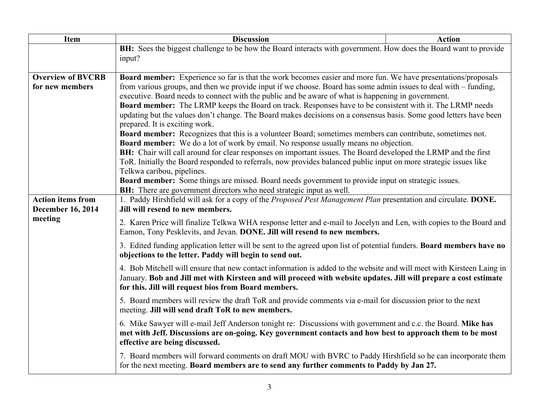| <b>Item</b>                                          | <b>Discussion</b>                                                                                                                                                                                                                                                                                                                                                                                                                                                                                                                                                               | <b>Action</b> |  |
|------------------------------------------------------|---------------------------------------------------------------------------------------------------------------------------------------------------------------------------------------------------------------------------------------------------------------------------------------------------------------------------------------------------------------------------------------------------------------------------------------------------------------------------------------------------------------------------------------------------------------------------------|---------------|--|
|                                                      | BH: Sees the biggest challenge to be how the Board interacts with government. How does the Board want to provide<br>input?                                                                                                                                                                                                                                                                                                                                                                                                                                                      |               |  |
|                                                      |                                                                                                                                                                                                                                                                                                                                                                                                                                                                                                                                                                                 |               |  |
| <b>Overview of BVCRB</b><br>for new members          | <b>Board member:</b> Experience so far is that the work becomes easier and more fun. We have presentations/proposals<br>from various groups, and then we provide input if we choose. Board has some admin issues to deal with – funding,<br>executive. Board needs to connect with the public and be aware of what is happening in government.<br>Board member: The LRMP keeps the Board on track. Responses have to be consistent with it. The LRMP needs<br>updating but the values don't change. The Board makes decisions on a consensus basis. Some good letters have been |               |  |
|                                                      |                                                                                                                                                                                                                                                                                                                                                                                                                                                                                                                                                                                 |               |  |
|                                                      | prepared. It is exciting work.<br><b>Board member:</b> Recognizes that this is a volunteer Board; sometimes members can contribute, sometimes not.<br><b>Board member:</b> We do a lot of work by email. No response usually means no objection.                                                                                                                                                                                                                                                                                                                                |               |  |
|                                                      | BH: Chair will call around for clear responses on important issues. The Board developed the LRMP and the first<br>ToR. Initially the Board responded to referrals, now provides balanced public input on more strategic issues like<br>Telkwa caribou, pipelines.<br>Board member: Some things are missed. Board needs government to provide input on strategic issues.<br><b>BH:</b> There are government directors who need strategic input as well.                                                                                                                          |               |  |
|                                                      |                                                                                                                                                                                                                                                                                                                                                                                                                                                                                                                                                                                 |               |  |
| <b>Action items from</b><br><b>December 16, 2014</b> | 1. Paddy Hirshfield will ask for a copy of the Proposed Pest Management Plan presentation and circulate. DONE.<br>Jill will resend to new members.                                                                                                                                                                                                                                                                                                                                                                                                                              |               |  |
| meeting                                              | 2. Karen Price will finalize Telkwa WHA response letter and e-mail to Jocelyn and Len, with copies to the Board and<br>Eamon, Tony Pesklevits, and Jevan. DONE. Jill will resend to new members.                                                                                                                                                                                                                                                                                                                                                                                |               |  |
|                                                      | 3. Edited funding application letter will be sent to the agreed upon list of potential funders. Board members have no<br>objections to the letter. Paddy will begin to send out.                                                                                                                                                                                                                                                                                                                                                                                                |               |  |
|                                                      | 4. Bob Mitchell will ensure that new contact information is added to the website and will meet with Kirsteen Laing in<br>January. Bob and Jill met with Kirsteen and will proceed with website updates. Jill will prepare a cost estimate<br>for this. Jill will request bios from Board members.                                                                                                                                                                                                                                                                               |               |  |
|                                                      | 5. Board members will review the draft ToR and provide comments via e-mail for discussion prior to the next<br>meeting. Jill will send draft ToR to new members.                                                                                                                                                                                                                                                                                                                                                                                                                |               |  |
|                                                      | 6. Mike Sawyer will e-mail Jeff Anderson tonight re: Discussions with government and c.c. the Board. Mike has<br>met with Jeff. Discussions are on-going. Key government contacts and how best to approach them to be most<br>effective are being discussed.                                                                                                                                                                                                                                                                                                                    |               |  |
|                                                      | 7. Board members will forward comments on draft MOU with BVRC to Paddy Hirshfield so he can incorporate them<br>for the next meeting. Board members are to send any further comments to Paddy by Jan 27.                                                                                                                                                                                                                                                                                                                                                                        |               |  |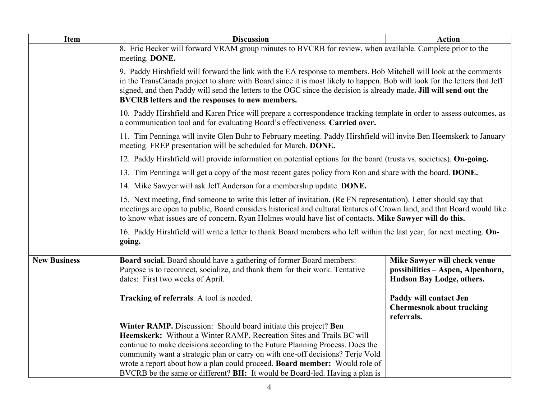| Item                | <b>Discussion</b>                                                                                                                                                                                                                                                                                                                                                                                                                                                                                                                                                                                                                                                                                                                                                                                                                                                                                                                                                                         | <b>Action</b>                                                                                  |  |
|---------------------|-------------------------------------------------------------------------------------------------------------------------------------------------------------------------------------------------------------------------------------------------------------------------------------------------------------------------------------------------------------------------------------------------------------------------------------------------------------------------------------------------------------------------------------------------------------------------------------------------------------------------------------------------------------------------------------------------------------------------------------------------------------------------------------------------------------------------------------------------------------------------------------------------------------------------------------------------------------------------------------------|------------------------------------------------------------------------------------------------|--|
|                     | 8. Eric Becker will forward VRAM group minutes to BVCRB for review, when available. Complete prior to the<br>meeting. DONE.                                                                                                                                                                                                                                                                                                                                                                                                                                                                                                                                                                                                                                                                                                                                                                                                                                                               |                                                                                                |  |
|                     | 9. Paddy Hirshfield will forward the link with the EA response to members. Bob Mitchell will look at the comments<br>in the TransCanada project to share with Board since it is most likely to happen. Bob will look for the letters that Jeff<br>signed, and then Paddy will send the letters to the OGC since the decision is already made. Jill will send out the<br>BVCRB letters and the responses to new members.                                                                                                                                                                                                                                                                                                                                                                                                                                                                                                                                                                   |                                                                                                |  |
|                     | 10. Paddy Hirshfield and Karen Price will prepare a correspondence tracking template in order to assess outcomes, as<br>a communication tool and for evaluating Board's effectiveness. Carried over.                                                                                                                                                                                                                                                                                                                                                                                                                                                                                                                                                                                                                                                                                                                                                                                      |                                                                                                |  |
|                     | 11. Tim Penninga will invite Glen Buhr to February meeting. Paddy Hirshfield will invite Ben Heemskerk to January<br>meeting. FREP presentation will be scheduled for March. DONE.<br>12. Paddy Hirshfield will provide information on potential options for the board (trusts vs. societies). On-going.<br>13. Tim Penninga will get a copy of the most recent gates policy from Ron and share with the board. DONE.<br>14. Mike Sawyer will ask Jeff Anderson for a membership update. DONE.<br>15. Next meeting, find someone to write this letter of invitation. (Re FN representation). Letter should say that<br>meetings are open to public, Board considers historical and cultural features of Crown land, and that Board would like<br>to know what issues are of concern. Ryan Holmes would have list of contacts. Mike Sawyer will do this.<br>16. Paddy Hirshfield will write a letter to thank Board members who left within the last year, for next meeting. On-<br>going. |                                                                                                |  |
|                     |                                                                                                                                                                                                                                                                                                                                                                                                                                                                                                                                                                                                                                                                                                                                                                                                                                                                                                                                                                                           |                                                                                                |  |
|                     |                                                                                                                                                                                                                                                                                                                                                                                                                                                                                                                                                                                                                                                                                                                                                                                                                                                                                                                                                                                           |                                                                                                |  |
|                     |                                                                                                                                                                                                                                                                                                                                                                                                                                                                                                                                                                                                                                                                                                                                                                                                                                                                                                                                                                                           |                                                                                                |  |
|                     |                                                                                                                                                                                                                                                                                                                                                                                                                                                                                                                                                                                                                                                                                                                                                                                                                                                                                                                                                                                           |                                                                                                |  |
|                     |                                                                                                                                                                                                                                                                                                                                                                                                                                                                                                                                                                                                                                                                                                                                                                                                                                                                                                                                                                                           |                                                                                                |  |
| <b>New Business</b> | Board social. Board should have a gathering of former Board members:<br>Purpose is to reconnect, socialize, and thank them for their work. Tentative<br>dates: First two weeks of April.                                                                                                                                                                                                                                                                                                                                                                                                                                                                                                                                                                                                                                                                                                                                                                                                  | Mike Sawyer will check venue<br>possibilities - Aspen, Alpenhorn,<br>Hudson Bay Lodge, others. |  |
|                     | Tracking of referrals. A tool is needed.                                                                                                                                                                                                                                                                                                                                                                                                                                                                                                                                                                                                                                                                                                                                                                                                                                                                                                                                                  | Paddy will contact Jen<br><b>Chermesnok about tracking</b><br>referrals.                       |  |
|                     | Winter RAMP. Discussion: Should board initiate this project? Ben<br>Heemskerk: Without a Winter RAMP, Recreation Sites and Trails BC will<br>continue to make decisions according to the Future Planning Process. Does the<br>community want a strategic plan or carry on with one-off decisions? Terje Vold<br>wrote a report about how a plan could proceed. Board member: Would role of<br>BVCRB be the same or different? BH: It would be Board-led. Having a plan is                                                                                                                                                                                                                                                                                                                                                                                                                                                                                                                 |                                                                                                |  |